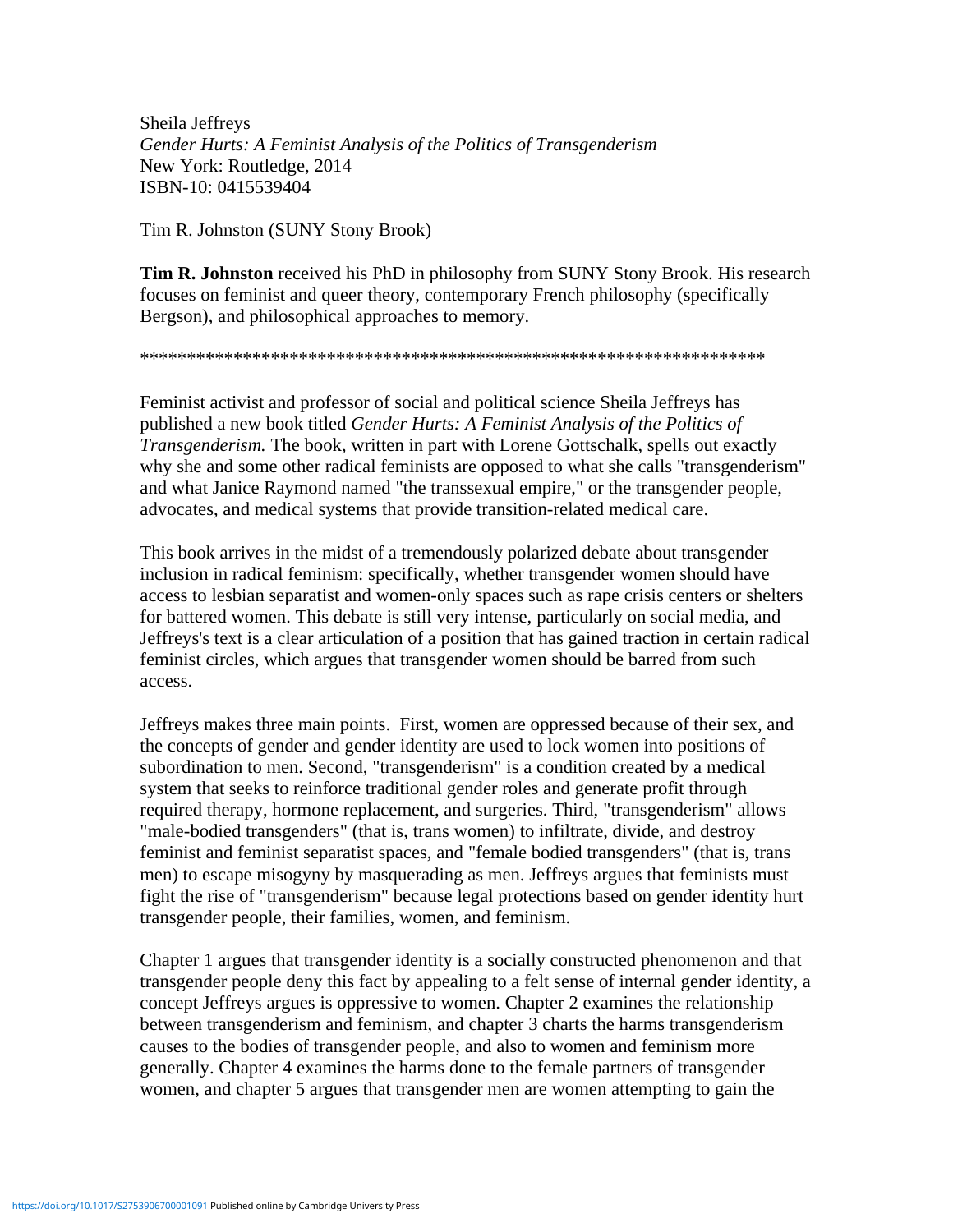Sheila Jeffreys *Gender Hurts: A Feminist Analysis of the Politics of Transgenderism* New York: Routledge, 2014 ISBN-10: 0415539404

Tim R. Johnston (SUNY Stony Brook)

**Tim R. Johnston** received his PhD in philosophy from SUNY Stony Brook. His research focuses on feminist and queer theory, contemporary French philosophy (specifically Bergson), and philosophical approaches to memory.

\*\*\*\*\*\*\*\*\*\*\*\*\*\*\*\*\*\*\*\*\*\*\*\*\*\*\*\*\*\*\*\*\*\*\*\*\*\*\*\*\*\*\*\*\*\*\*\*\*\*\*\*\*\*\*\*\*\*\*\*\*\*\*\*\*\*\*

Feminist activist and professor of social and political science Sheila Jeffreys has published a new book titled *Gender Hurts: A Feminist Analysis of the Politics of Transgenderism.* The book, written in part with Lorene Gottschalk, spells out exactly why she and some other radical feminists are opposed to what she calls "transgenderism" and what Janice Raymond named "the transsexual empire," or the transgender people, advocates, and medical systems that provide transition-related medical care.

This book arrives in the midst of a tremendously polarized debate about transgender inclusion in radical feminism: specifically, whether transgender women should have access to lesbian separatist and women-only spaces such as rape crisis centers or shelters for battered women. This debate is still very intense, particularly on social media, and Jeffreys's text is a clear articulation of a position that has gained traction in certain radical feminist circles, which argues that transgender women should be barred from such access.

Jeffreys makes three main points. First, women are oppressed because of their sex, and the concepts of gender and gender identity are used to lock women into positions of subordination to men. Second, "transgenderism" is a condition created by a medical system that seeks to reinforce traditional gender roles and generate profit through required therapy, hormone replacement, and surgeries. Third, "transgenderism" allows "male-bodied transgenders" (that is, trans women) to infiltrate, divide, and destroy feminist and feminist separatist spaces, and "female bodied transgenders" (that is, trans men) to escape misogyny by masquerading as men. Jeffreys argues that feminists must fight the rise of "transgenderism" because legal protections based on gender identity hurt transgender people, their families, women, and feminism.

Chapter 1 argues that transgender identity is a socially constructed phenomenon and that transgender people deny this fact by appealing to a felt sense of internal gender identity, a concept Jeffreys argues is oppressive to women. Chapter 2 examines the relationship between transgenderism and feminism, and chapter 3 charts the harms transgenderism causes to the bodies of transgender people, and also to women and feminism more generally. Chapter 4 examines the harms done to the female partners of transgender women, and chapter 5 argues that transgender men are women attempting to gain the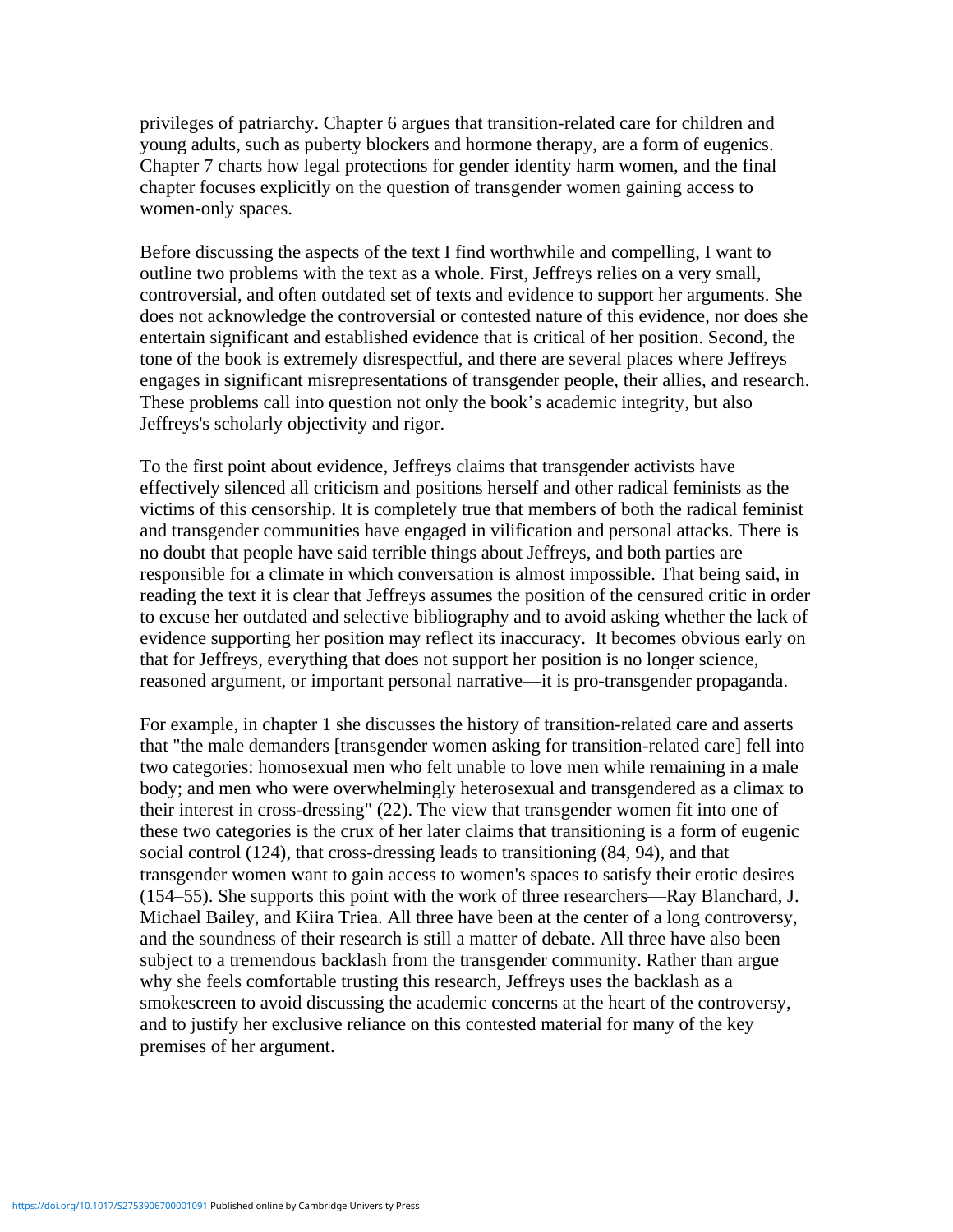privileges of patriarchy. Chapter 6 argues that transition-related care for children and young adults, such as puberty blockers and hormone therapy, are a form of eugenics. Chapter 7 charts how legal protections for gender identity harm women, and the final chapter focuses explicitly on the question of transgender women gaining access to women-only spaces.

Before discussing the aspects of the text I find worthwhile and compelling, I want to outline two problems with the text as a whole. First, Jeffreys relies on a very small, controversial, and often outdated set of texts and evidence to support her arguments. She does not acknowledge the controversial or contested nature of this evidence, nor does she entertain significant and established evidence that is critical of her position. Second, the tone of the book is extremely disrespectful, and there are several places where Jeffreys engages in significant misrepresentations of transgender people, their allies, and research. These problems call into question not only the book's academic integrity, but also Jeffreys's scholarly objectivity and rigor.

To the first point about evidence, Jeffreys claims that transgender activists have effectively silenced all criticism and positions herself and other radical feminists as the victims of this censorship. It is completely true that members of both the radical feminist and transgender communities have engaged in vilification and personal attacks. There is no doubt that people have said terrible things about Jeffreys, and both parties are responsible for a climate in which conversation is almost impossible. That being said, in reading the text it is clear that Jeffreys assumes the position of the censured critic in order to excuse her outdated and selective bibliography and to avoid asking whether the lack of evidence supporting her position may reflect its inaccuracy. It becomes obvious early on that for Jeffreys, everything that does not support her position is no longer science, reasoned argument, or important personal narrative—it is pro-transgender propaganda.

For example, in chapter 1 she discusses the history of transition-related care and asserts that "the male demanders [transgender women asking for transition-related care] fell into two categories: homosexual men who felt unable to love men while remaining in a male body; and men who were overwhelmingly heterosexual and transgendered as a climax to their interest in cross-dressing" (22). The view that transgender women fit into one of these two categories is the crux of her later claims that transitioning is a form of eugenic social control (124), that cross-dressing leads to transitioning (84, 94), and that transgender women want to gain access to women's spaces to satisfy their erotic desires (154–55). She supports this point with the work of three researchers—Ray Blanchard, J. Michael Bailey, and Kiira Triea. All three have been at the center of a long controversy, and the soundness of their research is still a matter of debate. All three have also been subject to a tremendous backlash from the transgender community. Rather than argue why she feels comfortable trusting this research, Jeffreys uses the backlash as a smokescreen to avoid discussing the academic concerns at the heart of the controversy, and to justify her exclusive reliance on this contested material for many of the key premises of her argument.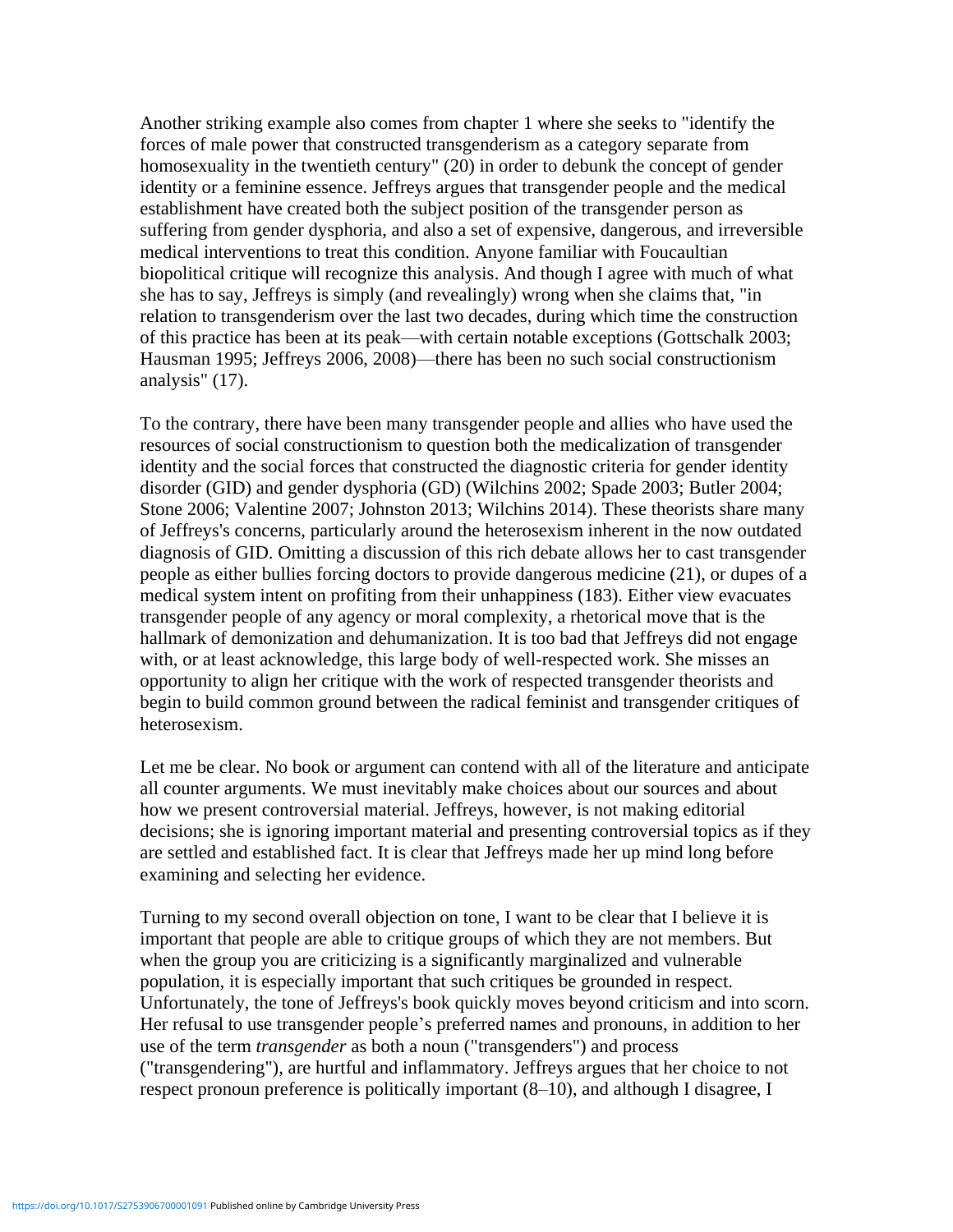Another striking example also comes from chapter 1 where she seeks to "identify the forces of male power that constructed transgenderism as a category separate from homosexuality in the twentieth century" (20) in order to debunk the concept of gender identity or a feminine essence. Jeffreys argues that transgender people and the medical establishment have created both the subject position of the transgender person as suffering from gender dysphoria, and also a set of expensive, dangerous, and irreversible medical interventions to treat this condition. Anyone familiar with Foucaultian biopolitical critique will recognize this analysis. And though I agree with much of what she has to say, Jeffreys is simply (and revealingly) wrong when she claims that, "in relation to transgenderism over the last two decades, during which time the construction of this practice has been at its peak—with certain notable exceptions (Gottschalk 2003; Hausman 1995; Jeffreys 2006, 2008)—there has been no such social constructionism analysis" (17).

To the contrary, there have been many transgender people and allies who have used the resources of social constructionism to question both the medicalization of transgender identity and the social forces that constructed the diagnostic criteria for gender identity disorder (GID) and gender dysphoria (GD) (Wilchins 2002; Spade 2003; Butler 2004; Stone 2006; Valentine 2007; Johnston 2013; Wilchins 2014). These theorists share many of Jeffreys's concerns, particularly around the heterosexism inherent in the now outdated diagnosis of GID. Omitting a discussion of this rich debate allows her to cast transgender people as either bullies forcing doctors to provide dangerous medicine (21), or dupes of a medical system intent on profiting from their unhappiness (183). Either view evacuates transgender people of any agency or moral complexity, a rhetorical move that is the hallmark of demonization and dehumanization. It is too bad that Jeffreys did not engage with, or at least acknowledge, this large body of well-respected work. She misses an opportunity to align her critique with the work of respected transgender theorists and begin to build common ground between the radical feminist and transgender critiques of heterosexism.

Let me be clear. No book or argument can contend with all of the literature and anticipate all counter arguments. We must inevitably make choices about our sources and about how we present controversial material. Jeffreys, however, is not making editorial decisions; she is ignoring important material and presenting controversial topics as if they are settled and established fact. It is clear that Jeffreys made her up mind long before examining and selecting her evidence.

Turning to my second overall objection on tone, I want to be clear that I believe it is important that people are able to critique groups of which they are not members. But when the group you are criticizing is a significantly marginalized and vulnerable population, it is especially important that such critiques be grounded in respect. Unfortunately, the tone of Jeffreys's book quickly moves beyond criticism and into scorn. Her refusal to use transgender people's preferred names and pronouns, in addition to her use of the term *transgender* as both a noun ("transgenders") and process ("transgendering"), are hurtful and inflammatory. Jeffreys argues that her choice to not respect pronoun preference is politically important (8–10), and although I disagree, I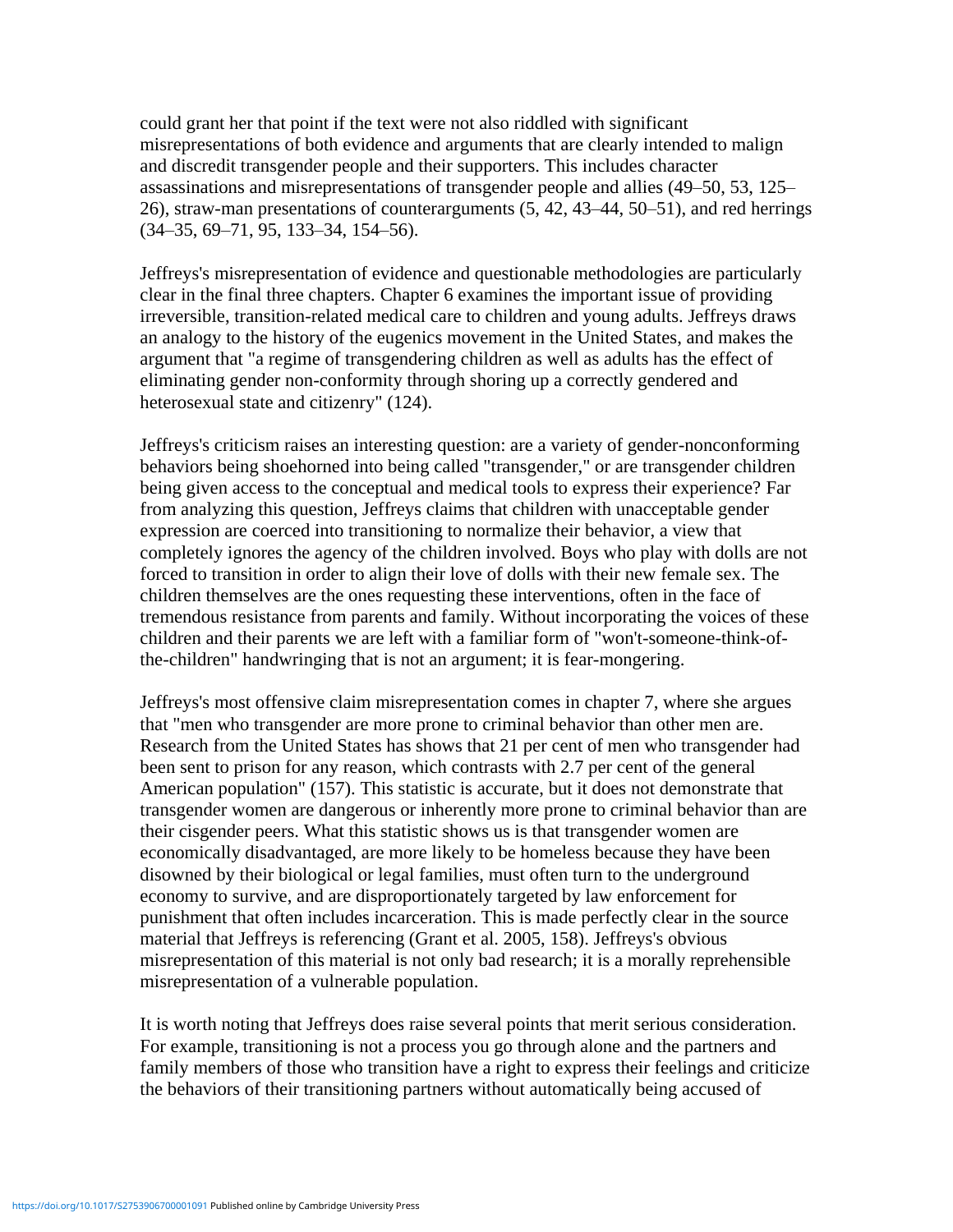could grant her that point if the text were not also riddled with significant misrepresentations of both evidence and arguments that are clearly intended to malign and discredit transgender people and their supporters. This includes character assassinations and misrepresentations of transgender people and allies (49–50, 53, 125– 26), straw-man presentations of counterarguments (5, 42, 43–44, 50–51), and red herrings (34–35, 69–71, 95, 133–34, 154–56).

Jeffreys's misrepresentation of evidence and questionable methodologies are particularly clear in the final three chapters. Chapter 6 examines the important issue of providing irreversible, transition-related medical care to children and young adults. Jeffreys draws an analogy to the history of the eugenics movement in the United States, and makes the argument that "a regime of transgendering children as well as adults has the effect of eliminating gender non-conformity through shoring up a correctly gendered and heterosexual state and citizenry" (124).

Jeffreys's criticism raises an interesting question: are a variety of gender-nonconforming behaviors being shoehorned into being called "transgender," or are transgender children being given access to the conceptual and medical tools to express their experience? Far from analyzing this question, Jeffreys claims that children with unacceptable gender expression are coerced into transitioning to normalize their behavior, a view that completely ignores the agency of the children involved. Boys who play with dolls are not forced to transition in order to align their love of dolls with their new female sex. The children themselves are the ones requesting these interventions, often in the face of tremendous resistance from parents and family. Without incorporating the voices of these children and their parents we are left with a familiar form of "won't-someone-think-ofthe-children" handwringing that is not an argument; it is fear-mongering.

Jeffreys's most offensive claim misrepresentation comes in chapter 7, where she argues that "men who transgender are more prone to criminal behavior than other men are. Research from the United States has shows that 21 per cent of men who transgender had been sent to prison for any reason, which contrasts with 2.7 per cent of the general American population" (157). This statistic is accurate, but it does not demonstrate that transgender women are dangerous or inherently more prone to criminal behavior than are their cisgender peers. What this statistic shows us is that transgender women are economically disadvantaged, are more likely to be homeless because they have been disowned by their biological or legal families, must often turn to the underground economy to survive, and are disproportionately targeted by law enforcement for punishment that often includes incarceration. This is made perfectly clear in the source material that Jeffreys is referencing (Grant et al. 2005, 158). Jeffreys's obvious misrepresentation of this material is not only bad research; it is a morally reprehensible misrepresentation of a vulnerable population.

It is worth noting that Jeffreys does raise several points that merit serious consideration. For example, transitioning is not a process you go through alone and the partners and family members of those who transition have a right to express their feelings and criticize the behaviors of their transitioning partners without automatically being accused of